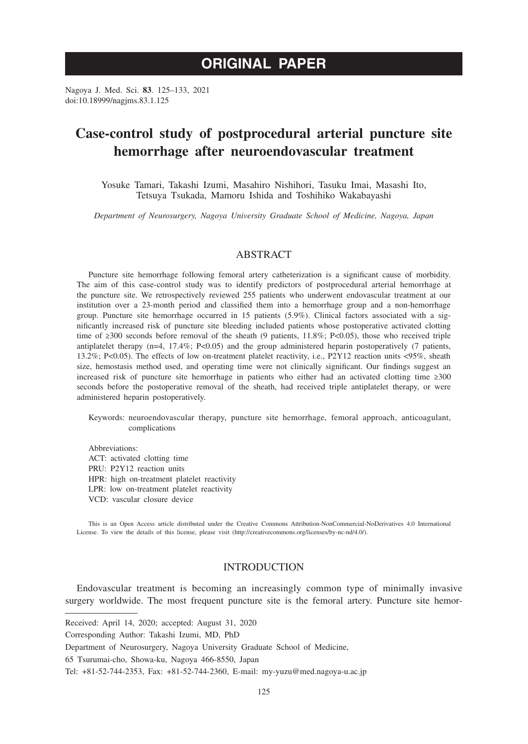# **ORIGINAL PAPER**

Nagoya J. Med. Sci. **83**. 125–133, 2021 doi:10.18999/nagjms.83.1.125

# **Case-control study of postprocedural arterial puncture site hemorrhage after neuroendovascular treatment**

Yosuke Tamari, Takashi Izumi, Masahiro Nishihori, Tasuku Imai, Masashi Ito, Tetsuya Tsukada, Mamoru Ishida and Toshihiko Wakabayashi

*Department of Neurosurgery, Nagoya University Graduate School of Medicine, Nagoya, Japan*

## ABSTRACT

Puncture site hemorrhage following femoral artery catheterization is a significant cause of morbidity. The aim of this case-control study was to identify predictors of postprocedural arterial hemorrhage at the puncture site. We retrospectively reviewed 255 patients who underwent endovascular treatment at our institution over a 23-month period and classified them into a hemorrhage group and a non-hemorrhage group. Puncture site hemorrhage occurred in 15 patients (5.9%). Clinical factors associated with a significantly increased risk of puncture site bleeding included patients whose postoperative activated clotting time of ≥300 seconds before removal of the sheath (9 patients, 11.8%; P<0.05), those who received triple antiplatelet therapy  $(n=4, 17.4\%; P<0.05)$  and the group administered heparin postoperatively (7 patients, 13.2%; P<0.05). The effects of low on-treatment platelet reactivity, i.e., P2Y12 reaction units <95%, sheath size, hemostasis method used, and operating time were not clinically significant. Our findings suggest an increased risk of puncture site hemorrhage in patients who either had an activated clotting time ≥300 seconds before the postoperative removal of the sheath, had received triple antiplatelet therapy, or were administered heparin postoperatively.

Keywords: neuroendovascular therapy, puncture site hemorrhage, femoral approach, anticoagulant, complications

Abbreviations: ACT: activated clotting time PRU: P2Y12 reaction units HPR: high on-treatment platelet reactivity LPR: low on-treatment platelet reactivity VCD: vascular closure device

This is an Open Access article distributed under the Creative Commons Attribution-NonCommercial-NoDerivatives 4.0 International License. To view the details of this license, please visit (http://creativecommons.org/licenses/by-nc-nd/4.0/).

# INTRODUCTION

Endovascular treatment is becoming an increasingly common type of minimally invasive surgery worldwide. The most frequent puncture site is the femoral artery. Puncture site hemor-

Received: April 14, 2020; accepted: August 31, 2020

Corresponding Author: Takashi Izumi, MD, PhD

Department of Neurosurgery, Nagoya University Graduate School of Medicine,

<sup>65</sup> Tsurumai-cho, Showa-ku, Nagoya 466-8550, Japan

Tel: +81-52-744-2353, Fax: +81-52-744-2360, E-mail: my-yuzu@med.nagoya-u.ac.jp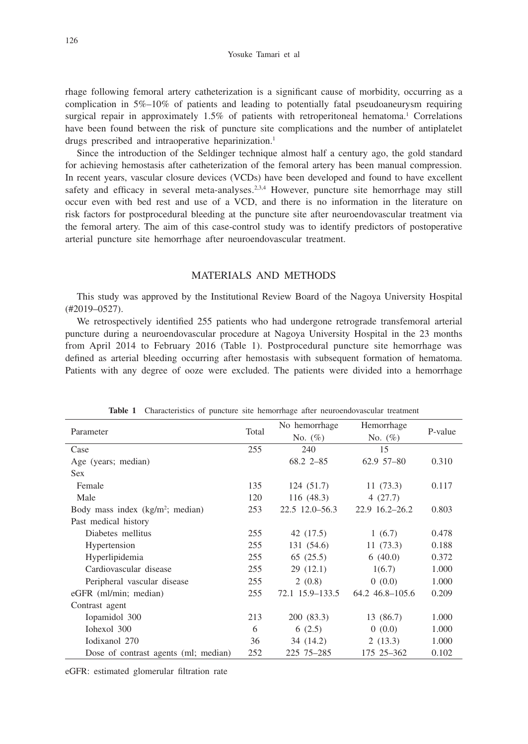rhage following femoral artery catheterization is a significant cause of morbidity, occurring as a complication in 5%–10% of patients and leading to potentially fatal pseudoaneurysm requiring surgical repair in approximately 1.5% of patients with retroperitoneal hematoma.<sup>1</sup> Correlations have been found between the risk of puncture site complications and the number of antiplatelet drugs prescribed and intraoperative heparinization.<sup>1</sup>

Since the introduction of the Seldinger technique almost half a century ago, the gold standard for achieving hemostasis after catheterization of the femoral artery has been manual compression. In recent years, vascular closure devices (VCDs) have been developed and found to have excellent safety and efficacy in several meta-analyses.<sup>2,3,4</sup> However, puncture site hemorrhage may still occur even with bed rest and use of a VCD, and there is no information in the literature on risk factors for postprocedural bleeding at the puncture site after neuroendovascular treatment via the femoral artery. The aim of this case-control study was to identify predictors of postoperative arterial puncture site hemorrhage after neuroendovascular treatment.

## MATERIALS AND METHODS

This study was approved by the Institutional Review Board of the Nagoya University Hospital (#2019–0527).

We retrospectively identified 255 patients who had undergone retrograde transfemoral arterial puncture during a neuroendovascular procedure at Nagoya University Hospital in the 23 months from April 2014 to February 2016 (Table 1). Postprocedural puncture site hemorrhage was defined as arterial bleeding occurring after hemostasis with subsequent formation of hematoma. Patients with any degree of ooze were excluded. The patients were divided into a hemorrhage

| Parameter                                    | Total | No hemorrhage    | Hemorrhage        |         |  |
|----------------------------------------------|-------|------------------|-------------------|---------|--|
|                                              |       | No. $(\%)$       | No. $(\%)$        | P-value |  |
| Case                                         | 255   | 240              | 15                |         |  |
| Age (years; median)                          |       | 68.2 2 - 85      | 62.9 57-80        | 0.310   |  |
| <b>Sex</b>                                   |       |                  |                   |         |  |
| Female                                       | 135   | 124(51.7)        | 11(73.3)          | 0.117   |  |
| Male                                         | 120   | 116(48.3)        | 4(27.7)           |         |  |
| Body mass index (kg/m <sup>2</sup> ; median) | 253   | $22.5$ 12.0-56.3 | $22.9$ 16.2-26.2  | 0.803   |  |
| Past medical history                         |       |                  |                   |         |  |
| Diabetes mellitus                            | 255   | 42 (17.5)        | 1(6.7)            | 0.478   |  |
| Hypertension                                 | 255   | 131 (54.6)       | 11(73.3)          | 0.188   |  |
| Hyperlipidemia                               | 255   | 65(25.5)         | 6(40.0)           | 0.372   |  |
| Cardiovascular disease                       | 255   | 29(12.1)         | 1(6.7)            | 1.000   |  |
| Peripheral vascular disease                  | 255   | 2(0.8)           | 0(0.0)            | 1.000   |  |
| eGFR (ml/min; median)                        | 255   | 72.1 15.9–133.5  | 64.2 46.8 - 105.6 | 0.209   |  |
| Contrast agent                               |       |                  |                   |         |  |
| Iopamidol 300                                | 213   | 200 (83.3)       | 13 (86.7)         | 1.000   |  |
| Iohexol 300                                  | 6     | 6(2.5)           | 0(0.0)            | 1.000   |  |
| Iodixanol 270                                | 36    | 34 (14.2)        | 2(13.3)           | 1.000   |  |
| Dose of contrast agents (ml; median)         | 252   | 225 75 - 285     | 175 25 - 362      | 0.102   |  |

**Table 1** Characteristics of puncture site hemorrhage after neuroendovascular treatment

eGFR: estimated glomerular filtration rate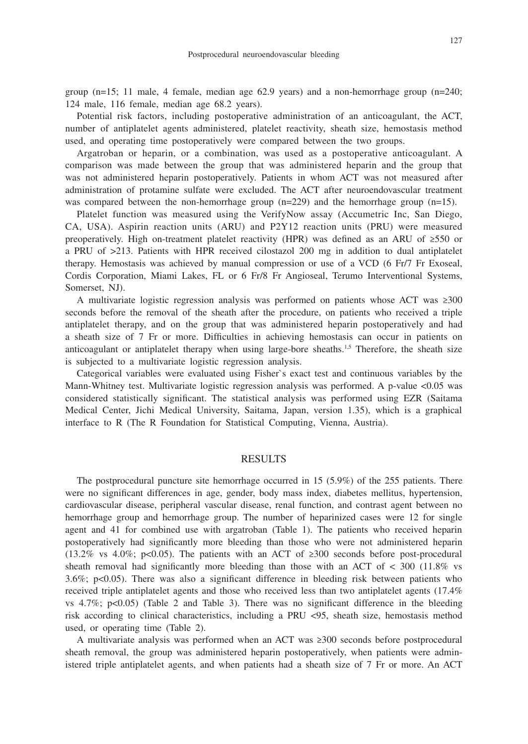group  $(n=15; 11 \text{ male}, 4 \text{ female}, \text{median age } 62.9 \text{ years})$  and a non-hemorrhage group  $(n=240;$ 124 male, 116 female, median age 68.2 years).

Potential risk factors, including postoperative administration of an anticoagulant, the ACT, number of antiplatelet agents administered, platelet reactivity, sheath size, hemostasis method used, and operating time postoperatively were compared between the two groups.

Argatroban or heparin, or a combination, was used as a postoperative anticoagulant. A comparison was made between the group that was administered heparin and the group that was not administered heparin postoperatively. Patients in whom ACT was not measured after administration of protamine sulfate were excluded. The ACT after neuroendovascular treatment was compared between the non-hemorrhage group (n=229) and the hemorrhage group (n=15).

Platelet function was measured using the VerifyNow assay (Accumetric Inc, San Diego, CA, USA). Aspirin reaction units (ARU) and P2Y12 reaction units (PRU) were measured preoperatively. High on-treatment platelet reactivity (HPR) was defined as an ARU of ≥550 or a PRU of >213. Patients with HPR received cilostazol 200 mg in addition to dual antiplatelet therapy. Hemostasis was achieved by manual compression or use of a VCD (6 Fr/7 Fr Exoseal, Cordis Corporation, Miami Lakes, FL or 6 Fr/8 Fr Angioseal, Terumo Interventional Systems, Somerset, NJ).

A multivariate logistic regression analysis was performed on patients whose ACT was ≥300 seconds before the removal of the sheath after the procedure, on patients who received a triple antiplatelet therapy, and on the group that was administered heparin postoperatively and had a sheath size of 7 Fr or more. Difficulties in achieving hemostasis can occur in patients on anticoagulant or antiplatelet therapy when using large-bore sheaths.1,5 Therefore, the sheath size is subjected to a multivariate logistic regression analysis.

Categorical variables were evaluated using Fisher`s exact test and continuous variables by the Mann-Whitney test. Multivariate logistic regression analysis was performed. A p-value <0.05 was considered statistically significant. The statistical analysis was performed using EZR (Saitama Medical Center, Jichi Medical University, Saitama, Japan, version 1.35), which is a graphical interface to R (The R Foundation for Statistical Computing, Vienna, Austria).

#### RESULTS

The postprocedural puncture site hemorrhage occurred in 15 (5.9%) of the 255 patients. There were no significant differences in age, gender, body mass index, diabetes mellitus, hypertension, cardiovascular disease, peripheral vascular disease, renal function, and contrast agent between no hemorrhage group and hemorrhage group. The number of heparinized cases were 12 for single agent and 41 for combined use with argatroban (Table 1). The patients who received heparin postoperatively had significantly more bleeding than those who were not administered heparin (13.2% vs 4.0%; p<0.05). The patients with an ACT of  $\geq 300$  seconds before post-procedural sheath removal had significantly more bleeding than those with an ACT of  $<$  300 (11.8% vs 3.6%; p<0.05). There was also a significant difference in bleeding risk between patients who received triple antiplatelet agents and those who received less than two antiplatelet agents (17.4% vs  $4.7\%$ ; p<0.05) (Table 2 and Table 3). There was no significant difference in the bleeding risk according to clinical characteristics, including a PRU <95, sheath size, hemostasis method used, or operating time (Table 2).

A multivariate analysis was performed when an ACT was ≥300 seconds before postprocedural sheath removal, the group was administered heparin postoperatively, when patients were administered triple antiplatelet agents, and when patients had a sheath size of 7 Fr or more. An ACT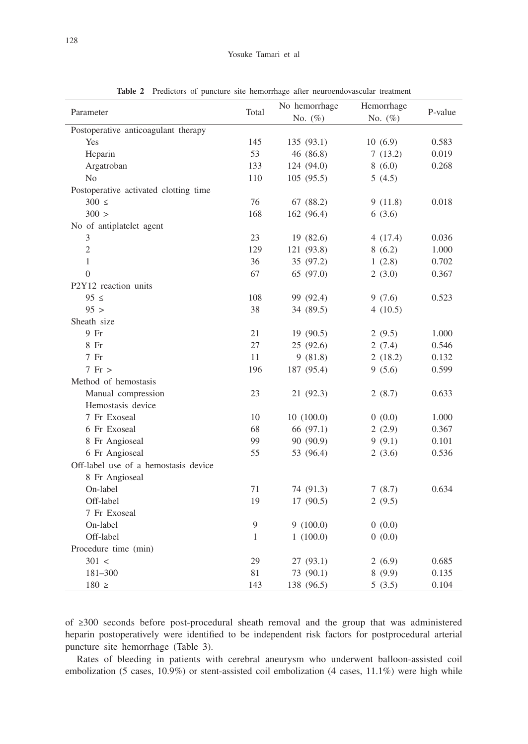| Parameter                             |              | No hemorrhage | Hemorrhage |         |
|---------------------------------------|--------------|---------------|------------|---------|
|                                       | Total        | No. (%)       | No. (%)    | P-value |
| Postoperative anticoagulant therapy   |              |               |            |         |
| Yes                                   | 145          | 135 (93.1)    | 10(6.9)    | 0.583   |
| Heparin                               | 53           | 46 (86.8)     | 7(13.2)    | 0.019   |
| Argatroban                            | 133          | 124 (94.0)    | 8(6.0)     | 0.268   |
| No                                    | 110          | 105(95.5)     | 5(4.5)     |         |
| Postoperative activated clotting time |              |               |            |         |
| $300 \le$                             | 76           | 67 (88.2)     | 9(11.8)    | 0.018   |
| 300 >                                 | 168          | 162 (96.4)    | 6(3.6)     |         |
| No of antiplatelet agent              |              |               |            |         |
| 3                                     | 23           | 19 (82.6)     | 4(17.4)    | 0.036   |
| $\overline{2}$                        | 129          | 121 (93.8)    | 8(6.2)     | 1.000   |
| $\mathbf{1}$                          | 36           | 35 (97.2)     | 1(2.8)     | 0.702   |
| $\mathbf{0}$                          | 67           | 65 (97.0)     | 2(3.0)     | 0.367   |
| P2Y12 reaction units                  |              |               |            |         |
| $95 \le$                              | 108          | 99 (92.4)     | 9(7.6)     | 0.523   |
| 95 >                                  | 38           | 34 (89.5)     | 4(10.5)    |         |
| Sheath size                           |              |               |            |         |
| 9 Fr                                  | 21           | 19 (90.5)     | 2(9.5)     | 1.000   |
| 8 Fr                                  | 27           | 25 (92.6)     | 2(7.4)     | 0.546   |
| $7$ Fr                                | 11           | 9(81.8)       | 2(18.2)    | 0.132   |
| $7$ Fr $>$                            | 196          | 187 (95.4)    | 9(5.6)     | 0.599   |
| Method of hemostasis                  |              |               |            |         |
| Manual compression                    | 23           | 21 (92.3)     | 2(8.7)     | 0.633   |
| Hemostasis device                     |              |               |            |         |
| 7 Fr Exoseal                          | 10           | 10(100.0)     | 0(0.0)     | 1.000   |
| 6 Fr Exoseal                          | 68           | 66 (97.1)     | 2(2.9)     | 0.367   |
| 8 Fr Angioseal                        | 99           | 90 (90.9)     | 9(9.1)     | 0.101   |
| 6 Fr Angioseal                        | 55           | 53 (96.4)     | 2(3.6)     | 0.536   |
| Off-label use of a hemostasis device  |              |               |            |         |
| 8 Fr Angioseal                        |              |               |            |         |
| On-label                              | 71           | 74 (91.3)     | 7(8.7)     | 0.634   |
| Off-label                             | 19           | 17 (90.5)     | 2(9.5)     |         |
| 7 Fr Exoseal                          |              |               |            |         |
| On-label                              | 9            | 9(100.0)      | 0(0.0)     |         |
| Off-label                             | $\mathbf{1}$ | 1(100.0)      | 0(0.0)     |         |
| Procedure time (min)                  |              |               |            |         |
| 301 <                                 | 29           | 27 (93.1)     | 2(6.9)     | 0.685   |
| 181-300                               | 81           | 73 (90.1)     | 8(9.9)     | 0.135   |
| $180 \geq$                            | 143          | 138 (96.5)    | 5(3.5)     | 0.104   |

**Table 2** Predictors of puncture site hemorrhage after neuroendovascular treatment

of ≥300 seconds before post-procedural sheath removal and the group that was administered heparin postoperatively were identified to be independent risk factors for postprocedural arterial puncture site hemorrhage (Table 3).

Rates of bleeding in patients with cerebral aneurysm who underwent balloon-assisted coil embolization (5 cases, 10.9%) or stent-assisted coil embolization (4 cases, 11.1%) were high while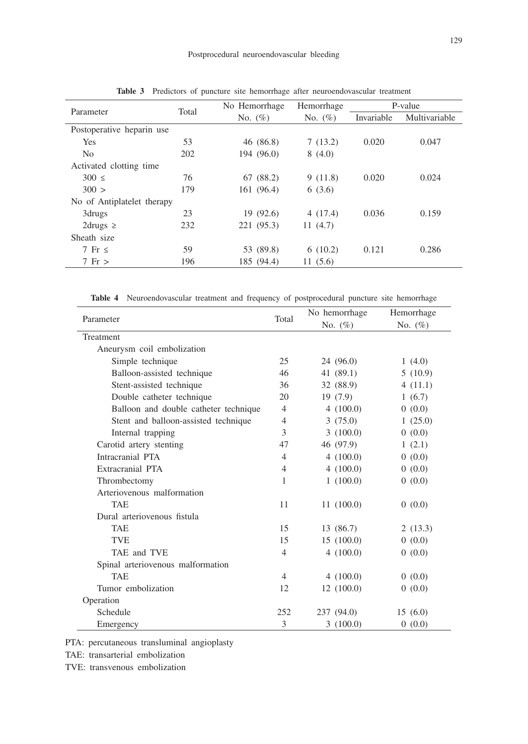|                            | No Hemorrhage | Hemorrhage | P-value    |               |
|----------------------------|---------------|------------|------------|---------------|
|                            | No. $(\%)$    | No. $(\%)$ | Invariable | Multivariable |
|                            |               |            |            |               |
| 53                         | 46 (86.8)     | 7(13.2)    | 0.020      | 0.047         |
| 202                        | 194 (96.0)    | 8(4.0)     |            |               |
|                            |               |            |            |               |
| 76                         | 67(88.2)      | 9(11.8)    | 0.020      | 0.024         |
| 179                        | 161 (96.4)    | 6(3.6)     |            |               |
| No of Antiplatelet therapy |               |            |            |               |
| 23                         | 19(92.6)      | 4(17.4)    | 0.036      | 0.159         |
| 232                        | 221 (95.3)    | 11(4.7)    |            |               |
|                            |               |            |            |               |
| 59                         | 53 (89.8)     | 6(10.2)    | 0.121      | 0.286         |
| 196                        | 185 (94.4)    | 11(5.6)    |            |               |
|                            | Total         |            |            |               |

**Table 3** Predictors of puncture site hemorrhage after neuroendovascular treatment

**Table 4** Neuroendovascular treatment and frequency of postprocedural puncture site hemorrhage

|                                       |                | No hemorrhage | Hemorrhage |  |
|---------------------------------------|----------------|---------------|------------|--|
| Parameter                             | Total          | No. $(\%)$    | No. $(\%)$ |  |
| Treatment                             |                |               |            |  |
| Aneurysm coil embolization            |                |               |            |  |
| Simple technique                      | 25             | 24(96.0)      | 1(4.0)     |  |
| Balloon-assisted technique            | 46             | 41 $(89.1)$   | 5(10.9)    |  |
| Stent-assisted technique              | 36             | 32 (88.9)     | 4(11.1)    |  |
| Double catheter technique             | 20             | 19(7.9)       | 1(6.7)     |  |
| Balloon and double catheter technique | $\overline{4}$ | 4(100.0)      | 0(0.0)     |  |
| Stent and balloon-assisted technique  | $\overline{4}$ | 3(75.0)       | 1(25.0)    |  |
| Internal trapping                     | 3              | 3(100.0)      | 0(0.0)     |  |
| Carotid artery stenting               | 47             | 46 (97.9)     | 1(2.1)     |  |
| Intracranial PTA                      | $\overline{4}$ | 4(100.0)      | 0(0.0)     |  |
| Extracranial PTA                      | $\overline{4}$ | 4(100.0)      | 0(0.0)     |  |
| Thrombectomy                          | 1              | 1(100.0)      | 0(0.0)     |  |
| Arteriovenous malformation            |                |               |            |  |
| <b>TAE</b>                            | 11             | 11(100.0)     | 0(0.0)     |  |
| Dural arteriovenous fistula           |                |               |            |  |
| TAE                                   | 15             | 13 (86.7)     | 2(13.3)    |  |
| <b>TVE</b>                            | 15             | 15(100.0)     | 0(0.0)     |  |
| TAE and TVE                           | $\overline{4}$ | 4(100.0)      | 0(0.0)     |  |
| Spinal arteriovenous malformation     |                |               |            |  |
| <b>TAE</b>                            | 4              | 4(100.0)      | 0(0.0)     |  |
| Tumor embolization                    | 12             | 12(100.0)     | 0(0.0)     |  |
| Operation                             |                |               |            |  |
| Schedule                              | 252            | 237 (94.0)    | 15(6.0)    |  |
| Emergency                             | 3              | 3(100.0)      | 0(0.0)     |  |

PTA: percutaneous transluminal angioplasty

TAE: transarterial embolization

TVE: transvenous embolization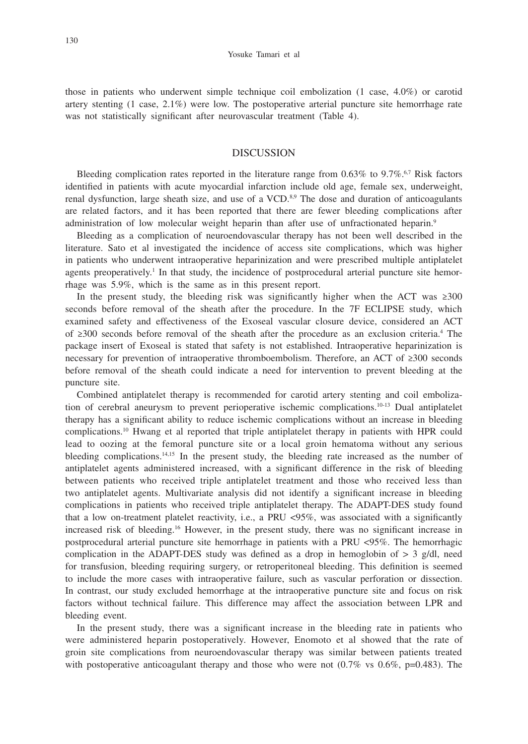those in patients who underwent simple technique coil embolization (1 case, 4.0%) or carotid artery stenting (1 case, 2.1%) were low. The postoperative arterial puncture site hemorrhage rate was not statistically significant after neurovascular treatment (Table 4).

#### DISCUSSION

Bleeding complication rates reported in the literature range from  $0.63\%$  to  $9.7\%$ .<sup>6,7</sup> Risk factors identified in patients with acute myocardial infarction include old age, female sex, underweight, renal dysfunction, large sheath size, and use of a  $VCD$ .<sup>8,9</sup> The dose and duration of anticoagulants are related factors, and it has been reported that there are fewer bleeding complications after administration of low molecular weight heparin than after use of unfractionated heparin.9

Bleeding as a complication of neuroendovascular therapy has not been well described in the literature. Sato et al investigated the incidence of access site complications, which was higher in patients who underwent intraoperative heparinization and were prescribed multiple antiplatelet agents preoperatively.<sup>1</sup> In that study, the incidence of postprocedural arterial puncture site hemorrhage was 5.9%, which is the same as in this present report.

In the present study, the bleeding risk was significantly higher when the ACT was  $\geq 300$ seconds before removal of the sheath after the procedure. In the 7F ECLIPSE study, which examined safety and effectiveness of the Exoseal vascular closure device, considered an ACT of ≥300 seconds before removal of the sheath after the procedure as an exclusion criteria.4 The package insert of Exoseal is stated that safety is not established. Intraoperative heparinization is necessary for prevention of intraoperative thromboembolism. Therefore, an ACT of ≥300 seconds before removal of the sheath could indicate a need for intervention to prevent bleeding at the puncture site.

Combined antiplatelet therapy is recommended for carotid artery stenting and coil embolization of cerebral aneurysm to prevent perioperative ischemic complications.<sup>10-13</sup> Dual antiplatelet therapy has a significant ability to reduce ischemic complications without an increase in bleeding complications.10 Hwang et al reported that triple antiplatelet therapy in patients with HPR could lead to oozing at the femoral puncture site or a local groin hematoma without any serious bleeding complications.<sup>14,15</sup> In the present study, the bleeding rate increased as the number of antiplatelet agents administered increased, with a significant difference in the risk of bleeding between patients who received triple antiplatelet treatment and those who received less than two antiplatelet agents. Multivariate analysis did not identify a significant increase in bleeding complications in patients who received triple antiplatelet therapy. The ADAPT-DES study found that a low on-treatment platelet reactivity, i.e., a PRU <95%, was associated with a significantly increased risk of bleeding.16 However, in the present study, there was no significant increase in postprocedural arterial puncture site hemorrhage in patients with a PRU <95%. The hemorrhagic complication in the ADAPT-DES study was defined as a drop in hemoglobin of  $> 3$  g/dl, need for transfusion, bleeding requiring surgery, or retroperitoneal bleeding. This definition is seemed to include the more cases with intraoperative failure, such as vascular perforation or dissection. In contrast, our study excluded hemorrhage at the intraoperative puncture site and focus on risk factors without technical failure. This difference may affect the association between LPR and bleeding event.

In the present study, there was a significant increase in the bleeding rate in patients who were administered heparin postoperatively. However, Enomoto et al showed that the rate of groin site complications from neuroendovascular therapy was similar between patients treated with postoperative anticoagulant therapy and those who were not  $(0.7\% \text{ vs } 0.6\% , \text{p=0.483}).$  The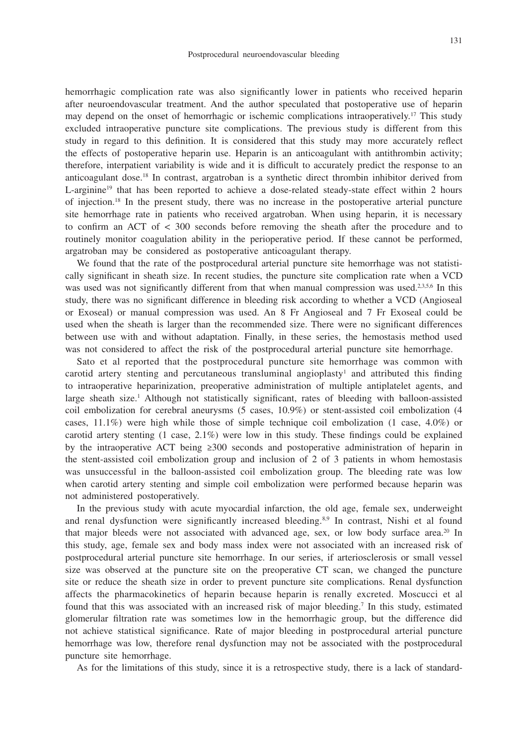hemorrhagic complication rate was also significantly lower in patients who received heparin after neuroendovascular treatment. And the author speculated that postoperative use of heparin may depend on the onset of hemorrhagic or ischemic complications intraoperatively.<sup>17</sup> This study excluded intraoperative puncture site complications. The previous study is different from this study in regard to this definition. It is considered that this study may more accurately reflect the effects of postoperative heparin use. Heparin is an anticoagulant with antithrombin activity; therefore, interpatient variability is wide and it is difficult to accurately predict the response to an anticoagulant dose.18 In contrast, argatroban is a synthetic direct thrombin inhibitor derived from L-arginine<sup>19</sup> that has been reported to achieve a dose-related steady-state effect within 2 hours of injection.18 In the present study, there was no increase in the postoperative arterial puncture site hemorrhage rate in patients who received argatroban. When using heparin, it is necessary to confirm an ACT of < 300 seconds before removing the sheath after the procedure and to routinely monitor coagulation ability in the perioperative period. If these cannot be performed, argatroban may be considered as postoperative anticoagulant therapy.

We found that the rate of the postprocedural arterial puncture site hemorrhage was not statistically significant in sheath size. In recent studies, the puncture site complication rate when a VCD was used was not significantly different from that when manual compression was used.<sup>2,3,5,6</sup> In this study, there was no significant difference in bleeding risk according to whether a VCD (Angioseal or Exoseal) or manual compression was used. An 8 Fr Angioseal and 7 Fr Exoseal could be used when the sheath is larger than the recommended size. There were no significant differences between use with and without adaptation. Finally, in these series, the hemostasis method used was not considered to affect the risk of the postprocedural arterial puncture site hemorrhage.

Sato et al reported that the postprocedural puncture site hemorrhage was common with carotid artery stenting and percutaneous transluminal angioplasty<sup>1</sup> and attributed this finding to intraoperative heparinization, preoperative administration of multiple antiplatelet agents, and large sheath size.<sup>1</sup> Although not statistically significant, rates of bleeding with balloon-assisted coil embolization for cerebral aneurysms (5 cases, 10.9%) or stent-assisted coil embolization (4 cases, 11.1%) were high while those of simple technique coil embolization (1 case, 4.0%) or carotid artery stenting (1 case, 2.1%) were low in this study. These findings could be explained by the intraoperative ACT being ≥300 seconds and postoperative administration of heparin in the stent-assisted coil embolization group and inclusion of 2 of 3 patients in whom hemostasis was unsuccessful in the balloon-assisted coil embolization group. The bleeding rate was low when carotid artery stenting and simple coil embolization were performed because heparin was not administered postoperatively.

In the previous study with acute myocardial infarction, the old age, female sex, underweight and renal dysfunction were significantly increased bleeding.<sup>8,9</sup> In contrast, Nishi et al found that major bleeds were not associated with advanced age, sex, or low body surface area.20 In this study, age, female sex and body mass index were not associated with an increased risk of postprocedural arterial puncture site hemorrhage. In our series, if arteriosclerosis or small vessel size was observed at the puncture site on the preoperative CT scan, we changed the puncture site or reduce the sheath size in order to prevent puncture site complications. Renal dysfunction affects the pharmacokinetics of heparin because heparin is renally excreted. Moscucci et al found that this was associated with an increased risk of major bleeding.<sup>7</sup> In this study, estimated glomerular filtration rate was sometimes low in the hemorrhagic group, but the difference did not achieve statistical significance. Rate of major bleeding in postprocedural arterial puncture hemorrhage was low, therefore renal dysfunction may not be associated with the postprocedural puncture site hemorrhage.

As for the limitations of this study, since it is a retrospective study, there is a lack of standard-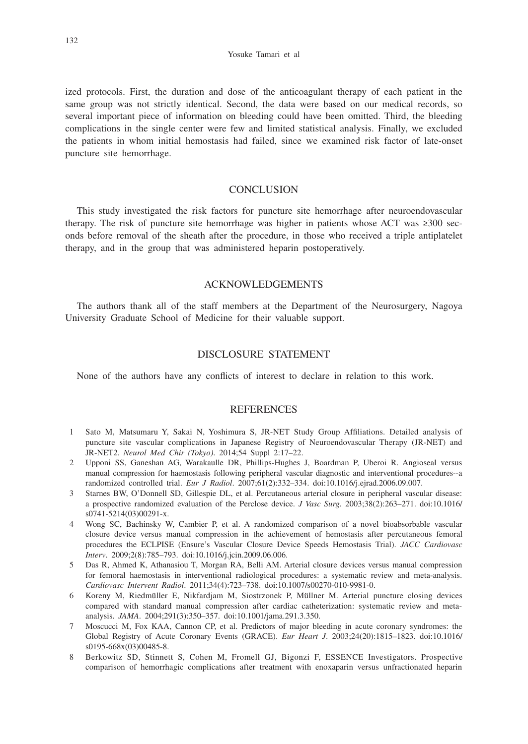Yosuke Tamari et al

ized protocols. First, the duration and dose of the anticoagulant therapy of each patient in the same group was not strictly identical. Second, the data were based on our medical records, so several important piece of information on bleeding could have been omitted. Third, the bleeding complications in the single center were few and limited statistical analysis. Finally, we excluded the patients in whom initial hemostasis had failed, since we examined risk factor of late-onset puncture site hemorrhage.

#### **CONCLUSION**

This study investigated the risk factors for puncture site hemorrhage after neuroendovascular therapy. The risk of puncture site hemorrhage was higher in patients whose ACT was ≥300 seconds before removal of the sheath after the procedure, in those who received a triple antiplatelet therapy, and in the group that was administered heparin postoperatively.

## ACKNOWLEDGEMENTS

The authors thank all of the staff members at the Department of the Neurosurgery, Nagoya University Graduate School of Medicine for their valuable support.

## DISCLOSURE STATEMENT

None of the authors have any conflicts of interest to declare in relation to this work.

#### **REFERENCES**

- 1 Sato M, Matsumaru Y, Sakai N, Yoshimura S, JR-NET Study Group Affiliations. Detailed analysis of puncture site vascular complications in Japanese Registry of Neuroendovascular Therapy (JR-NET) and JR-NET2. *Neurol Med Chir (Tokyo)*. 2014;54 Suppl 2:17–22.
- 2 Upponi SS, Ganeshan AG, Warakaulle DR, Phillips-Hughes J, Boardman P, Uberoi R. Angioseal versus manual compression for haemostasis following peripheral vascular diagnostic and interventional procedures--a randomized controlled trial. *Eur J Radiol*. 2007;61(2):332–334. doi:10.1016/j.ejrad.2006.09.007.
- 3 Starnes BW, O'Donnell SD, Gillespie DL, et al. Percutaneous arterial closure in peripheral vascular disease: a prospective randomized evaluation of the Perclose device. *J Vasc Surg*. 2003;38(2):263–271. doi:10.1016/ s0741-5214(03)00291-x.
- 4 Wong SC, Bachinsky W, Cambier P, et al. A randomized comparison of a novel bioabsorbable vascular closure device versus manual compression in the achievement of hemostasis after percutaneous femoral procedures the ECLPISE (Ensure's Vascular Closure Device Speeds Hemostasis Trial). *JACC Cardiovasc Interv*. 2009;2(8):785–793. doi:10.1016/j.jcin.2009.06.006.
- 5 Das R, Ahmed K, Athanasiou T, Morgan RA, Belli AM. Arterial closure devices versus manual compression for femoral haemostasis in interventional radiological procedures: a systematic review and meta-analysis. *Cardiovasc Intervent Radiol*. 2011;34(4):723–738. doi:10.1007/s00270-010-9981-0.
- 6 Koreny M, Riedmüller E, Nikfardjam M, Siostrzonek P, Müllner M. Arterial puncture closing devices compared with standard manual compression after cardiac catheterization: systematic review and metaanalysis. *JAMA*. 2004;291(3):350–357. doi:10.1001/jama.291.3.350.
- 7 Moscucci M, Fox KAA, Cannon CP, et al. Predictors of major bleeding in acute coronary syndromes: the Global Registry of Acute Coronary Events (GRACE). *Eur Heart J*. 2003;24(20):1815–1823. doi:10.1016/ s0195-668x(03)00485-8.
- 8 Berkowitz SD, Stinnett S, Cohen M, Fromell GJ, Bigonzi F, ESSENCE Investigators. Prospective comparison of hemorrhagic complications after treatment with enoxaparin versus unfractionated heparin